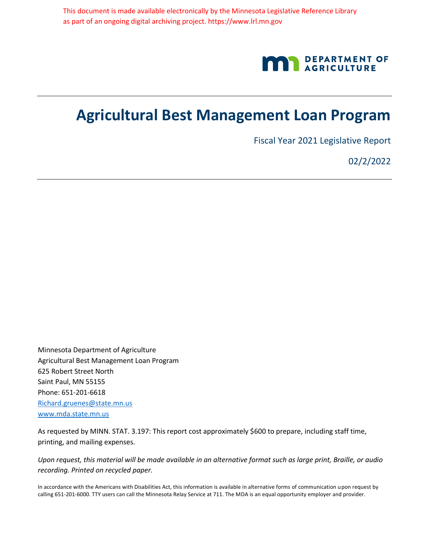

## **Agricultural Best Management Loan Program**

Fiscal Year 2021 Legislative Report

02/2/2022

Minnesota Department of Agriculture Agricultural Best Management Loan Program 625 Robert Street North Saint Paul, MN 55155 Phone: 651-201-6618 Richard.gruenes@state.mn.us www.mda.state.mn.us

As requested by MINN. STAT. 3.197: This report cost approximately \$600 to prepare, including staff time, printing, and mailing expenses.

*Upon request, this material will be made available in an alternative format such as large print, Braille, or audio recording. Printed on recycled paper.*

In accordance with the Americans with Disabilities Act, this information is available in alternative forms of communication upon request by calling 651-201-6000. TTY users can call the Minnesota Relay Service at 711. The MDA is an equal opportunity employer and provider.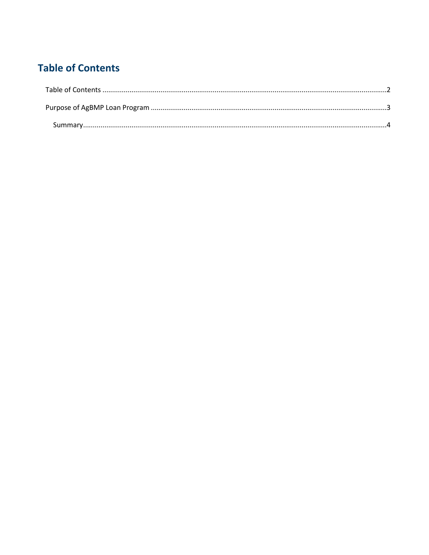## <span id="page-1-0"></span>**Table of Contents**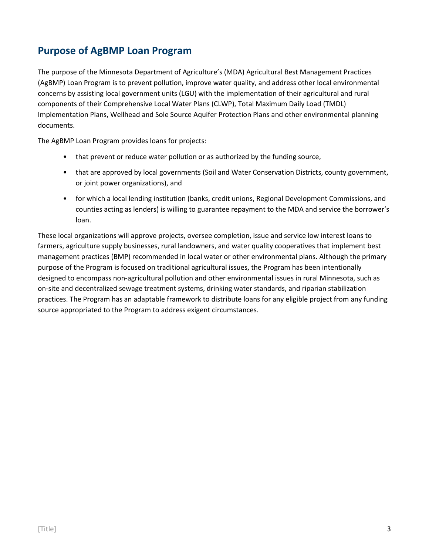## <span id="page-2-0"></span>**Purpose of AgBMP Loan Program**

The purpose of the Minnesota Department of Agriculture's (MDA) Agricultural Best Management Practices (AgBMP) Loan Program is to prevent pollution, improve water quality, and address other local environmental concerns by assisting local government units (LGU) with the implementation of their agricultural and rural components of their Comprehensive Local Water Plans (CLWP), Total Maximum Daily Load (TMDL) Implementation Plans, Wellhead and Sole Source Aquifer Protection Plans and other environmental planning documents.

The AgBMP Loan Program provides loans for projects:

- that prevent or reduce water pollution or as authorized by the funding source,
- that are approved by local governments (Soil and Water Conservation Districts, county government, or joint power organizations), and
- for which a local lending institution (banks, credit unions, Regional Development Commissions, and counties acting as lenders) is willing to guarantee repayment to the MDA and service the borrower's loan.

These local organizations will approve projects, oversee completion, issue and service low interest loans to farmers, agriculture supply businesses, rural landowners, and water quality cooperatives that implement best management practices (BMP) recommended in local water or other environmental plans. Although the primary purpose of the Program is focused on traditional agricultural issues, the Program has been intentionally designed to encompass non-agricultural pollution and other environmental issues in rural Minnesota, such as on-site and decentralized sewage treatment systems, drinking water standards, and riparian stabilization practices. The Program has an adaptable framework to distribute loans for any eligible project from any funding source appropriated to the Program to address exigent circumstances.